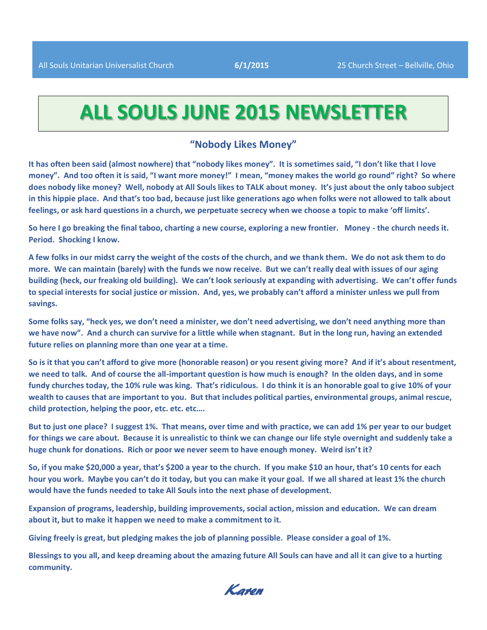## **ALL SOULS JUNE 2015 NEWSLETTER**

#### **"Nobody Likes Money"**

**It has often been said (almost nowhere) that "nobody likes money". It is sometimes said, "I don't like that I love money". And too often it is said, "I want more money!" I mean, "money makes the world go round" right? So where does nobody like money? Well, nobody at All Souls likes to TALK about money. It's just about the only taboo subject in this hippie place. And that's too bad, because just like generations ago when folks were not allowed to talk about feelings, or ask hard questions in a church, we perpetuate secrecy when we choose a topic to make 'off limits'.**

**So here I go breaking the final taboo, charting a new course, exploring a new frontier. Money - the church needs it. Period. Shocking I know.**

**A few folks in our midst carry the weight of the costs of the church, and we thank them. We do not ask them to do more. We can maintain (barely) with the funds we now receive. But we can't really deal with issues of our aging building (heck, our freaking old building). We can't look seriously at expanding with advertising. We can't offer funds to special interests for social justice or mission. And, yes, we probably can't afford a minister unless we pull from savings.** 

**Some folks say, "heck yes, we don't need a minister, we don't need advertising, we don't need anything more than we have now". And a church can survive for a little while when stagnant. But in the long run, having an extended future relies on planning more than one year at a time.**

**So is it that you can't afford to give more (honorable reason) or you resent giving more? And if it's about resentment, we need to talk. And of course the all-important question is how much is enough? In the olden days, and in some fundy churches today, the 10% rule was king. That's ridiculous. I do think it is an honorable goal to give 10% of your wealth to causes that are important to you. But that includes political parties, environmental groups, animal rescue, child protection, helping the poor, etc. etc. etc….**

**But to just one place? I suggest 1%. That means, over time and with practice, we can add 1% per year to our budget for things we care about. Because it is unrealistic to think we can change our life style overnight and suddenly take a huge chunk for donations. Rich or poor we never seem to have enough money. Weird isn't it?**

**So, if you make \$20,000 a year, that's \$200 a year to the church. If you make \$10 an hour, that's 10 cents for each hour you work. Maybe you can't do it today, but you can make it your goal. If we all shared at least 1% the church would have the funds needed to take All Souls into the next phase of development.**

**Expansion of programs, leadership, building improvements, social action, mission and education. We can dream about it, but to make it happen we need to make a commitment to it.**

**Giving freely is great, but pledging makes the job of planning possible. Please consider a goal of 1%.**

**Blessings to you all, and keep dreaming about the amazing future All Souls can have and all it can give to a hurting community.**

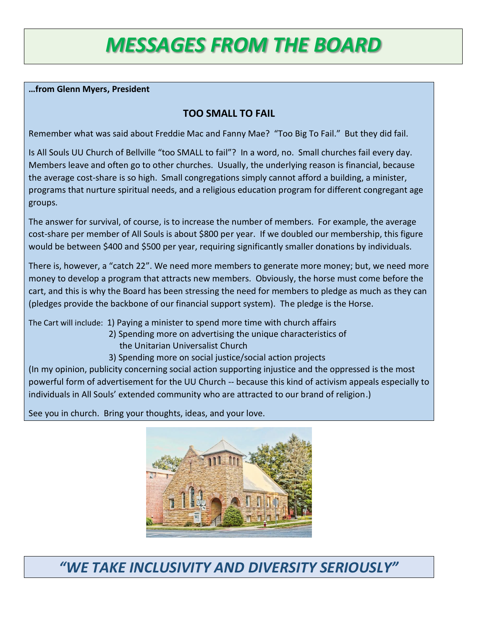# *MESSAGES FROM THE BOARD*

#### **…from Glenn Myers, President**

### **TOO SMALL TO FAIL**

Remember what was said about Freddie Mac and Fanny Mae? "Too Big To Fail." But they did fail.

Is All Souls UU Church of Bellville "too SMALL to fail"? In a word, no. Small churches fail every day. Members leave and often go to other churches. Usually, the underlying reason is financial, because the average cost-share is so high. Small congregations simply cannot afford a building, a minister, programs that nurture spiritual needs, and a religious education program for different congregant age groups.

The answer for survival, of course, is to increase the number of members. For example, the average cost-share per member of All Souls is about \$800 per year. If we doubled our membership, this figure would be between \$400 and \$500 per year, requiring significantly smaller donations by individuals.

There is, however, a "catch 22". We need more members to generate more money; but, we need more money to develop a program that attracts new members. Obviously, the horse must come before the cart, and this is why the Board has been stressing the need for members to pledge as much as they can (pledges provide the backbone of our financial support system). The pledge is the Horse.

The Cart will include: 1) Paying a minister to spend more time with church affairs

- 2) Spending more on advertising the unique characteristics of the Unitarian Universalist Church
- 3) Spending more on social justice/social action projects

(In my opinion, publicity concerning social action supporting injustice and the oppressed is the most powerful form of advertisement for the UU Church -- because this kind of activism appeals especially to individuals in All Souls' extended community who are attracted to our brand of religion.)

See you in church. Bring your thoughts, ideas, and your love.



*"WE TAKE INCLUSIVITY AND DIVERSITY SERIOUSLY"*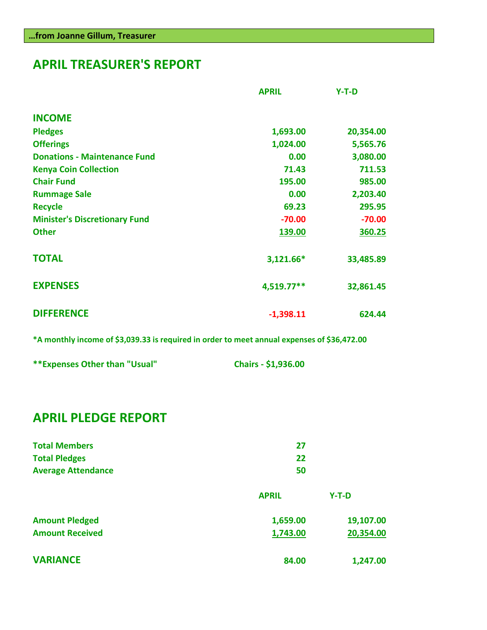## **APRIL TREASURER'S REPORT**

|                                      | <b>APRIL</b> | $Y-T-D$   |
|--------------------------------------|--------------|-----------|
| <b>INCOME</b>                        |              |           |
| <b>Pledges</b>                       | 1,693.00     | 20,354.00 |
| <b>Offerings</b>                     | 1,024.00     | 5,565.76  |
| <b>Donations - Maintenance Fund</b>  | 0.00         | 3,080.00  |
| <b>Kenya Coin Collection</b>         | 71.43        | 711.53    |
| <b>Chair Fund</b>                    | 195.00       | 985.00    |
| <b>Rummage Sale</b>                  | 0.00         | 2,203.40  |
| <b>Recycle</b>                       | 69.23        | 295.95    |
| <b>Minister's Discretionary Fund</b> | $-70.00$     | $-70.00$  |
| <b>Other</b>                         | 139.00       | 360.25    |
| <b>TOTAL</b>                         | 3,121.66*    | 33,485.89 |
| <b>EXPENSES</b>                      | 4,519.77**   | 32,861.45 |
| <b>DIFFERENCE</b>                    | $-1,398.11$  | 624.44    |

**\*A monthly income of \$3,039.33 is required in order to meet annual expenses of \$36,472.00**

| ** Expenses Other than "Usual" | Chairs - \$1,936.00 |
|--------------------------------|---------------------|
|--------------------------------|---------------------|

## **APRIL PLEDGE REPORT**

| <b>Total Members</b>      | 27           |           |
|---------------------------|--------------|-----------|
| <b>Total Pledges</b>      | 22           |           |
| <b>Average Attendance</b> | 50           |           |
|                           | <b>APRIL</b> | $Y-T-D$   |
| <b>Amount Pledged</b>     | 1,659.00     | 19,107.00 |
| <b>Amount Received</b>    | 1,743.00     | 20,354.00 |
| <b>VARIANCE</b>           | 84.00        | 1,247.00  |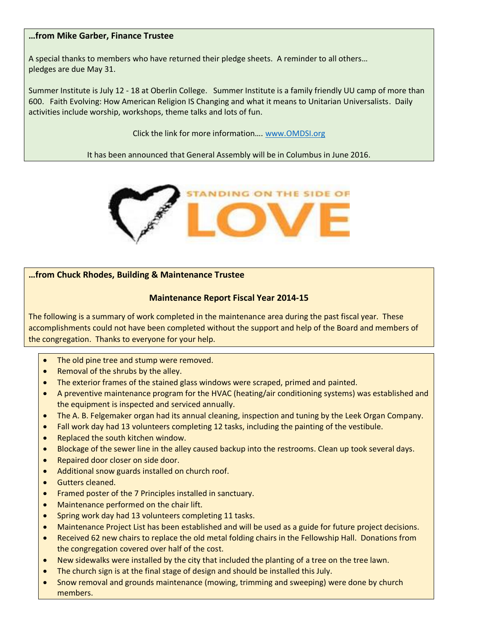#### **…from Mike Garber, Finance Trustee**

A special thanks to members who have returned their pledge sheets. A reminder to all others… pledges are due May 31.

Summer Institute is July 12 - 18 at Oberlin College. Summer Institute is a family friendly UU camp of more than 600. Faith Evolving: How American Religion IS Changing and what it means to Unitarian Universalists. Daily activities include worship, workshops, theme talks and lots of fun.

Click the link for more information…. [www.OMDSI.org](http://www.omdsi.org/)

It has been announced that General Assembly will be in Columbus in June 2016.



#### **…from Chuck Rhodes, Building & Maintenance Trustee**

#### **Maintenance Report Fiscal Year 2014-15**

The following is a summary of work completed in the maintenance area during the past fiscal year. These accomplishments could not have been completed without the support and help of the Board and members of the congregation. Thanks to everyone for your help.

- The old pine tree and stump were removed.
- Removal of the shrubs by the alley.
- The exterior frames of the stained glass windows were scraped, primed and painted.
- A preventive maintenance program for the HVAC (heating/air conditioning systems) was established and the equipment is inspected and serviced annually.
- The A. B. Felgemaker organ had its annual cleaning, inspection and tuning by the Leek Organ Company.
- Fall work day had 13 volunteers completing 12 tasks, including the painting of the vestibule.
- Replaced the south kitchen window.
- Blockage of the sewer line in the alley caused backup into the restrooms. Clean up took several days.
- Repaired door closer on side door.
- Additional snow guards installed on church roof.
- Gutters cleaned.
- Framed poster of the 7 Principles installed in sanctuary.
- Maintenance performed on the chair lift.
- Spring work day had 13 volunteers completing 11 tasks.
- Maintenance Project List has been established and will be used as a guide for future project decisions.
- Received 62 new chairs to replace the old metal folding chairs in the Fellowship Hall. Donations from the congregation covered over half of the cost.
- New sidewalks were installed by the city that included the planting of a tree on the tree lawn.
- The church sign is at the final stage of design and should be installed this July.
- Snow removal and grounds maintenance (mowing, trimming and sweeping) were done by church members.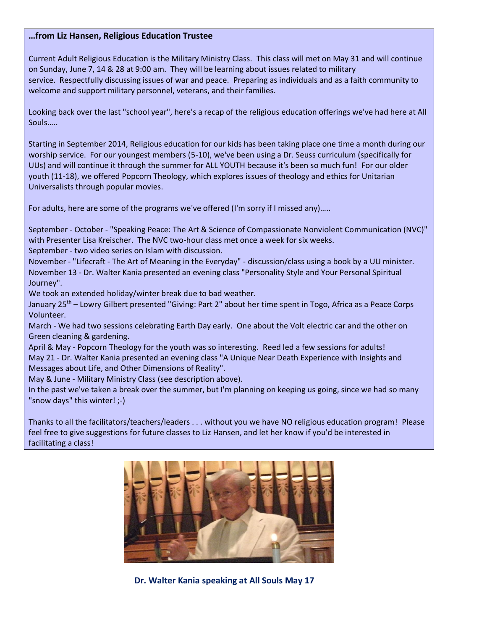#### **…from Liz Hansen, Religious Education Trustee**

Current Adult Religious Education is the Military Ministry Class. This class will met on May 31 and will continue on Sunday, June 7, 14 & 28 at 9:00 am. They will be learning about issues related to military service. Respectfully discussing issues of war and peace. Preparing as individuals and as a faith community to welcome and support military personnel, veterans, and their families.

Looking back over the last "school year", here's a recap of the religious education offerings we've had here at All Souls…..

Starting in September 2014, Religious education for our kids has been taking place one time a month during our worship service. For our youngest members (5-10), we've been using a Dr. Seuss curriculum (specifically for UUs) and will continue it through the summer for ALL YOUTH because it's been so much fun! For our older youth (11-18), we offered Popcorn Theology, which explores issues of theology and ethics for Unitarian Universalists through popular movies.

For adults, here are some of the programs we've offered (I'm sorry if I missed any)…..

September - October - "Speaking Peace: The Art & Science of Compassionate Nonviolent Communication (NVC)" with Presenter Lisa Kreischer. The NVC two-hour class met once a week for six weeks. September - two video series on Islam with discussion.

November - "Lifecraft - The Art of Meaning in the Everyday" - discussion/class using a book by a UU minister. November 13 - Dr. Walter Kania presented an evening class "Personality Style and Your Personal Spiritual Journey".

We took an extended holiday/winter break due to bad weather.

January 25<sup>th</sup> – Lowry Gilbert presented "Giving: Part 2" about her time spent in Togo, Africa as a Peace Corps Volunteer.

March - We had two sessions celebrating Earth Day early. One about the Volt electric car and the other on Green cleaning & gardening.

April & May - Popcorn Theology for the youth was so interesting. Reed led a few sessions for adults! May 21 - Dr. Walter Kania presented an evening class "A Unique Near Death Experience with Insights and Messages about Life, and Other Dimensions of Reality".

May & June - Military Ministry Class (see description above).

In the past we've taken a break over the summer, but I'm planning on keeping us going, since we had so many "snow days" this winter! ;-)

Thanks to all the facilitators/teachers/leaders . . . without you we have NO religious education program! Please feel free to give suggestions for future classes to Liz Hansen, and let her know if you'd be interested in facilitating a class!



 **Dr. Walter Kania speaking at All Souls May 17**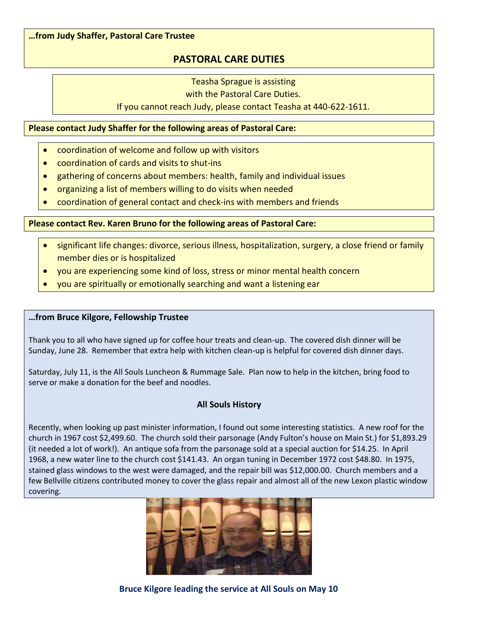#### **…from Judy Shaffer, Pastoral Care Trustee**

### **PASTORAL CARE DUTIES**

Teasha Sprague is assisting

with the Pastoral Care Duties.

If you cannot reach Judy, please contact Teasha at 440-622-1611.

#### **Please contact Judy Shaffer for the following areas of Pastoral Care:**

- coordination of welcome and follow up with visitors
- coordination of cards and visits to shut-ins
- gathering of concerns about members: health, family and individual issues
- organizing a list of members willing to do visits when needed
- coordination of general contact and check-ins with members and friends

#### **Please contact Rev. Karen Bruno for the following areas of Pastoral Care:**

- significant life changes: divorce, serious illness, hospitalization, surgery, a close friend or family member dies or is hospitalized
- you are experiencing some kind of loss, stress or minor mental health concern
- you are spiritually or emotionally searching and want a listening ear

#### **…from Bruce Kilgore, Fellowship Trustee**

Thank you to all who have signed up for coffee hour treats and clean-up. The covered dish dinner will be Sunday, June 28. Remember that extra help with kitchen clean-up is helpful for covered dish dinner days.

Saturday, July 11, is the All Souls Luncheon & Rummage Sale. Plan now to help in the kitchen, bring food to serve or make a donation for the beef and noodles.

#### **All Souls History**

Recently, when looking up past minister information, I found out some interesting statistics. A new roof for the church in 1967 cost \$2,499.60. The church sold their parsonage (Andy Fulton's house on Main St.) for \$1,893.29 (it needed a lot of work!). An antique sofa from the parsonage sold at a special auction for \$14.25. In April 1968, a new water line to the church cost \$141.43. An organ tuning in December 1972 cost \$48.80. In 1975, stained glass windows to the west were damaged, and the repair bill was \$12,000.00. Church members and a few Bellville citizens contributed money to cover the glass repair and almost all of the new Lexon plastic window covering.



 **Bruce Kilgore leading the service at All Souls on May 10**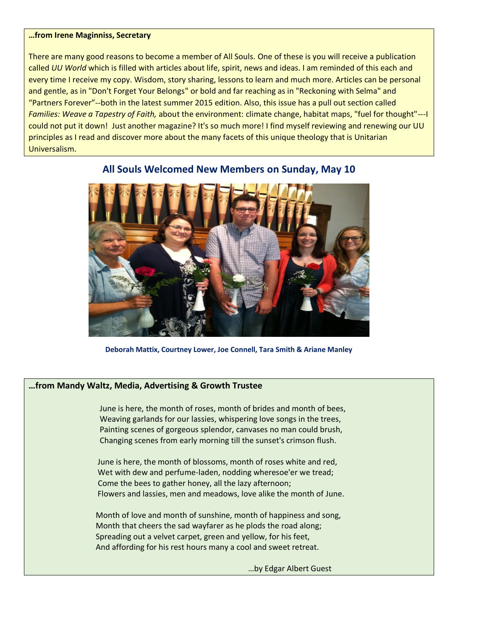#### **…from Irene Maginniss, Secretary**

There are many good reasons to become a member of All Souls. One of these is you will receive a publication called *UU World* which is filled with articles about life, spirit, news and ideas. I am reminded of this each and every time I receive my copy. Wisdom, story sharing, lessons to learn and much more. Articles can be personal and gentle, as in "Don't Forget Your Belongs" or bold and far reaching as in "Reckoning with Selma" and "Partners Forever"--both in the latest summer 2015 edition. Also, this issue has a pull out section called *Families: Weave a Tapestry of Faith,* about the environment: climate change, habitat maps, "fuel for thought"---I could not put it down! Just another magazine? It's so much more! I find myself reviewing and renewing our UU principles as I read and discover more about the many facets of this unique theology that is Unitarian Universalism.



#### **All Souls Welcomed New Members on Sunday, May 10**

**Deborah Mattix, Courtney Lower, Joe Connell, Tara Smith & Ariane Manley**

#### **…from Mandy Waltz, Media, Advertising & Growth Trustee**

 June is here, the month of roses, month of brides and month of bees, Weaving garlands for our lassies, whispering love songs in the trees, Painting scenes of gorgeous splendor, canvases no man could brush, Changing scenes from early morning till the sunset's crimson flush.

 June is here, the month of blossoms, month of roses white and red, Wet with dew and perfume-laden, nodding wheresoe'er we tread; Come the bees to gather honey, all the lazy afternoon; Flowers and lassies, men and meadows, love alike the month of June.

 Month of love and month of sunshine, month of happiness and song, Month that cheers the sad wayfarer as he plods the road along; Spreading out a velvet carpet, green and yellow, for his feet, And affording for his rest hours many a cool and sweet retreat.

…by Edgar Albert Guest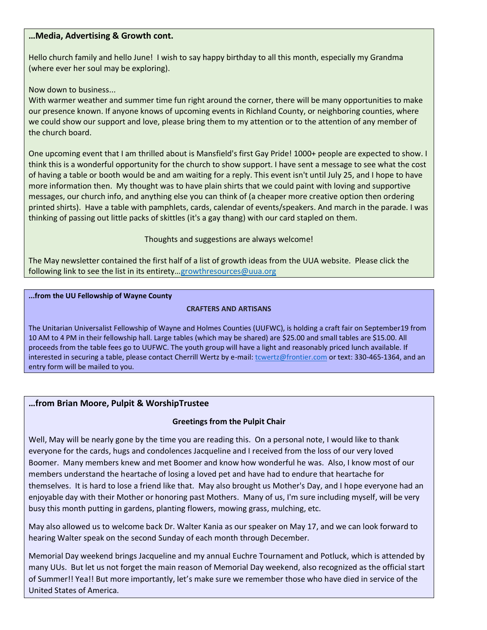#### **…Media, Advertising & Growth cont.**

Hello church family and hello June! I wish to say happy birthday to all this month, especially my Grandma (where ever her soul may be exploring).

Now down to business...

With warmer weather and summer time fun right around the corner, there will be many opportunities to make our presence known. If anyone knows of upcoming events in Richland County, or neighboring counties, where we could show our support and love, please bring them to my attention or to the attention of any member of the church board.

One upcoming event that I am thrilled about is Mansfield's first Gay Pride! 1000+ people are expected to show. I think this is a wonderful opportunity for the church to show support. I have sent a message to see what the cost of having a table or booth would be and am waiting for a reply. This event isn't until July 25, and I hope to have more information then. My thought was to have plain shirts that we could paint with loving and supportive messages, our church info, and anything else you can think of (a cheaper more creative option then ordering printed shirts). Have a table with pamphlets, cards, calendar of events/speakers. And march in the parade. I was thinking of passing out little packs of skittles (it's a gay thang) with our card stapled on them.

Thoughts and suggestions are always welcome!

The May newsletter contained the first half of a list of growth ideas from the UUA website. Please click the following link to see the list in its entirety...[growthresources@uua.org](mailto:growthresources@uua.org)

#### **...from the UU Fellowship of Wayne County**

#### **CRAFTERS AND ARTISANS**

The Unitarian Universalist Fellowship of Wayne and Holmes Counties (UUFWC), is holding a craft fair on September19 from 10 AM to 4 PM in their fellowship hall. Large tables (which may be shared) are \$25.00 and small tables are \$15.00. All proceeds from the table fees go to UUFWC. The youth group will have a light and reasonably priced lunch available. If interested in securing a table, please contact Cherrill Wertz by e-mail: [tcwertz@frontier.com](mailto:tcwertz@frontier.com) or text: 330-465-1364, and an entry form will be mailed to you.

#### **…from Brian Moore, Pulpit & WorshipTrustee**

#### **Greetings from the Pulpit Chair**

Well, May will be nearly gone by the time you are reading this. On a personal note, I would like to thank everyone for the cards, hugs and condolences Jacqueline and I received from the loss of our very loved Boomer. Many members knew and met Boomer and know how wonderful he was. Also, I know most of our members understand the heartache of losing a loved pet and have had to endure that heartache for themselves. It is hard to lose a friend like that. May also brought us Mother's Day, and I hope everyone had an enjoyable day with their Mother or honoring past Mothers. Many of us, I'm sure including myself, will be very busy this month putting in gardens, planting flowers, mowing grass, mulching, etc.

May also allowed us to welcome back Dr. Walter Kania as our speaker on May 17, and we can look forward to hearing Walter speak on the second Sunday of each month through December.

Memorial Day weekend brings Jacqueline and my annual Euchre Tournament and Potluck, which is attended by many UUs. But let us not forget the main reason of Memorial Day weekend, also recognized as the official start of Summer!! Yea!! But more importantly, let's make sure we remember those who have died in service of the United States of America.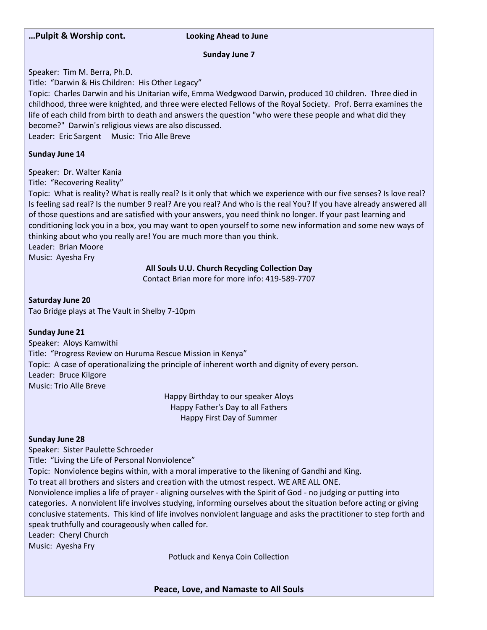

Leader: Cheryl Church

Music: Ayesha Fry

Potluck and Kenya Coin Collection

**Peace, Love, and Namaste to All Souls**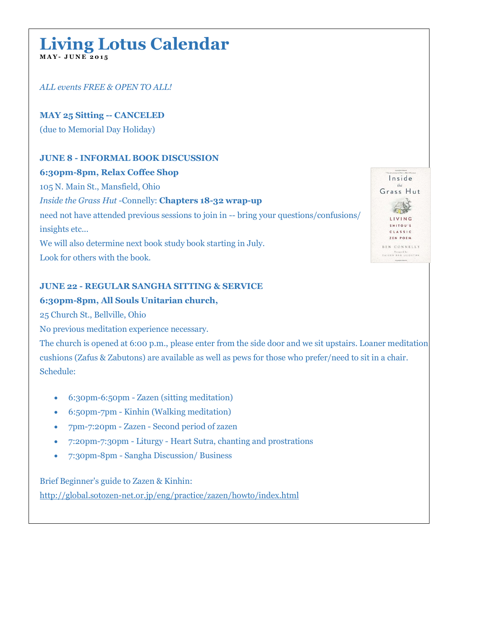## **Living Lotus Calendar M A Y - J U N E 2 0 1 5**

*ALL events FREE & OPEN TO ALL!*

**MAY 25 Sitting -- CANCELED**

(due to Memorial Day Holiday)

#### **JUNE 8 - INFORMAL BOOK DISCUSSION**

#### **6:30pm-8pm, Relax Coffee Shop**

105 N. Main St., Mansfield, Ohio

#### *Inside the Grass Hut* -Connelly: **Chapters 18-32 wrap-up**

need not have attended previous sessions to join in -- bring your questions/confusions/ insights etc...

We will also determine next book study book starting in July. Look for others with the book.

#### **JUNE 22 - REGULAR SANGHA SITTING & SERVICE**

#### **6:30pm-8pm, All Souls Unitarian church,**

25 Church St., Bellville, Ohio

No previous meditation experience necessary.

The church is opened at 6:00 p.m., please enter from the side door and we sit upstairs. Loaner meditation cushions (Zafus & Zabutons) are available as well as pews for those who prefer/need to sit in a chair. Schedule:

- 6:30pm-6:50pm Zazen (sitting meditation)
- 6:50pm-7pm Kinhin (Walking meditation)
- 7pm-7:20pm Zazen Second period of zazen
- 7:20pm-7:30pm Liturgy Heart Sutra, chanting and prostrations
- 7:30pm-8pm Sangha Discussion/ Business

Brief Beginner's guide to Zazen & Kinhin: [http://global.sotozen-net.or.jp/eng/practice/zazen/howto/index.html](http://google.us3.list-manage.com/track/click?u=97190cb8037d760aaf1b572b0&id=c76f3fb1e5&e=4ee121b0fc)

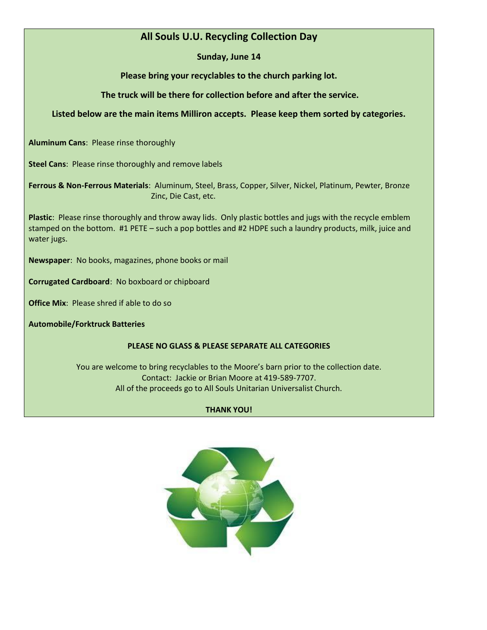## **All Souls U.U. Recycling Collection Day**

**Sunday, June 14**

**Please bring your recyclables to the church parking lot.** 

**The truck will be there for collection before and after the service.** 

#### **Listed below are the main items Milliron accepts. Please keep them sorted by categories.**

**Aluminum Cans**: Please rinse thoroughly

**Steel Cans**: Please rinse thoroughly and remove labels

**Ferrous & Non-Ferrous Materials**: Aluminum, Steel, Brass, Copper, Silver, Nickel, Platinum, Pewter, Bronze Zinc, Die Cast, etc.

**Plastic**: Please rinse thoroughly and throw away lids. Only plastic bottles and jugs with the recycle emblem stamped on the bottom. #1 PETE – such a pop bottles and #2 HDPE such a laundry products, milk, juice and water jugs.

**Newspaper**: No books, magazines, phone books or mail

**Corrugated Cardboard**: No boxboard or chipboard

**Office Mix**: Please shred if able to do so

**Automobile/Forktruck Batteries**

#### **PLEASE NO GLASS & PLEASE SEPARATE ALL CATEGORIES**

You are welcome to bring recyclables to the Moore's barn prior to the collection date. Contact: Jackie or Brian Moore at 419-589-7707. All of the proceeds go to All Souls Unitarian Universalist Church.

#### **THANK YOU!**